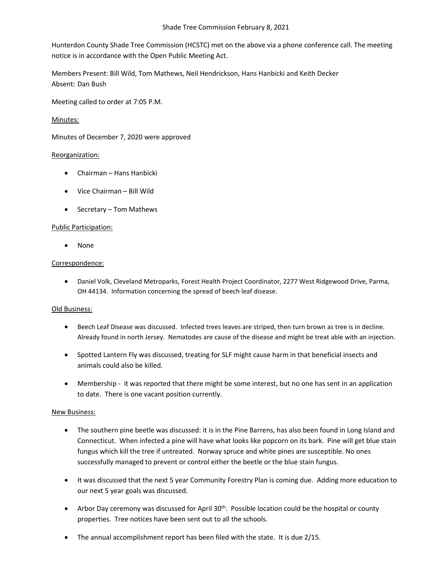Hunterdon County Shade Tree Commission (HCSTC) met on the above via a phone conference call. The meeting notice is in accordance with the Open Public Meeting Act.

Members Present: Bill Wild, Tom Mathews, Neil Hendrickson, Hans Hanbicki and Keith Decker Absent: Dan Bush

Meeting called to order at 7:05 P.M.

## Minutes:

Minutes of December 7, 2020 were approved

### Reorganization:

- Chairman Hans Hanbicki
- Vice Chairman Bill Wild
- Secretary Tom Mathews

#### Public Participation:

• None

#### Correspondence:

• Daniel Volk, Cleveland Metroparks, Forest Health Project Coordinator, 2277 West Ridgewood Drive, Parma, OH 44134. Information concerning the spread of beech leaf disease.

#### Old Business:

- Beech Leaf Disease was discussed. Infected trees leaves are striped, then turn brown as tree is in decline. Already found in north Jersey. Nematodes are cause of the disease and might be treat able with an injection.
- Spotted Lantern Fly was discussed, treating for SLF might cause harm in that beneficial insects and animals could also be killed.
- Membership it was reported that there might be some interest, but no one has sent in an application to date. There is one vacant position currently.

# New Business:

- The southern pine beetle was discussed: it is in the Pine Barrens, has also been found in Long Island and Connecticut. When infected a pine will have what looks like popcorn on its bark. Pine will get blue stain fungus which kill the tree if untreated. Norway spruce and white pines are susceptible. No ones successfully managed to prevent or control either the beetle or the blue stain fungus.
- It was discussed that the next 5 year Community Forestry Plan is coming due. Adding more education to our next 5 year goals was discussed.
- Arbor Day ceremony was discussed for April 30<sup>th</sup>. Possible location could be the hospital or county properties. Tree notices have been sent out to all the schools.
- The annual accomplishment report has been filed with the state. It is due 2/15.